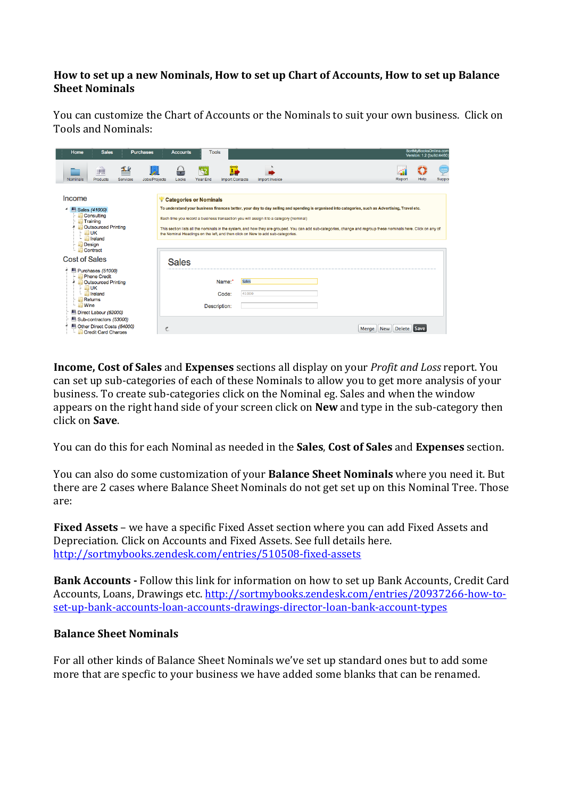## How to set up a new Nominals, How to set up Chart of Accounts, How to set up Balance **Sheet Nominals**

You can customize the Chart of Accounts or the Nominals to suit your own business. Click on Tools and Nominals:

| Home                                                                                                                                                                                  | <b>Sales</b>                                                                                                                                                      | <b>Purchases</b> |               | <b>Accounts</b>                                                                                                                                                                                                                                                                                                                                                                                                                                                                                                            | <b>Tools</b> |                                          | SortMyBooksOnline.com<br>Version: 1.2 (build:4460) |  |                     |                       |                    |  |
|---------------------------------------------------------------------------------------------------------------------------------------------------------------------------------------|-------------------------------------------------------------------------------------------------------------------------------------------------------------------|------------------|---------------|----------------------------------------------------------------------------------------------------------------------------------------------------------------------------------------------------------------------------------------------------------------------------------------------------------------------------------------------------------------------------------------------------------------------------------------------------------------------------------------------------------------------------|--------------|------------------------------------------|----------------------------------------------------|--|---------------------|-----------------------|--------------------|--|
| <b>Nominals</b>                                                                                                                                                                       | WW.<br>Products                                                                                                                                                   | TP<br>Services   | Jobs/Projects | Locks                                                                                                                                                                                                                                                                                                                                                                                                                                                                                                                      | Year End     | π<br><b>Import Contacts</b>              | Import Invoice                                     |  |                     | <b>Help</b><br>Report | $\cdots$<br>Suppor |  |
| Income<br>Sales (41000)<br>Consulting<br>Training<br><b>Outsourced Printing</b><br>$\vdash$ $\blacksquare$ UK<br>$\blacksquare$ Ireland<br>Design<br>Contract<br><b>Cost of Sales</b> |                                                                                                                                                                   |                  |               | Categories or Nominals<br>To understand your business finances better, your day to day selling and spending is organised into categories, such as Advertising, Travel etc.<br>Each time you record a business transaction you will assign it to a category (nominal)<br>This section lists all the nominals in the system, and how they are grouped. You can add sub-categories, change and regroup these nominals here. Click on any of<br>the Nominal Headings on the left, and then click on New to add sub-categories. |              |                                          |                                                    |  |                     |                       |                    |  |
|                                                                                                                                                                                       |                                                                                                                                                                   |                  |               | <b>Sales</b>                                                                                                                                                                                                                                                                                                                                                                                                                                                                                                               |              |                                          |                                                    |  |                     |                       |                    |  |
|                                                                                                                                                                                       | Purchases (51000)<br>Phone Credit<br>Outsourced Printing<br>$\blacksquare$ UK<br>$\blacksquare$ Ireland<br><b>Returns</b><br><b>Wine</b><br>Direct Labour (52000) |                  |               |                                                                                                                                                                                                                                                                                                                                                                                                                                                                                                                            | Description: | <b>Sales</b><br>Name:*<br>41000<br>Code: |                                                    |  |                     |                       |                    |  |
| Sub-contractors (53000)<br>Other Direct Costs (54000)<br>Credit Card Charges                                                                                                          |                                                                                                                                                                   |                  | 斐             |                                                                                                                                                                                                                                                                                                                                                                                                                                                                                                                            |              |                                          |                                                    |  | <b>New</b><br>Merge | Delete Save           |                    |  |

**Income, Cost of Sales** and **Expenses** sections all display on your *Profit and Loss* report. You can set up sub-categories of each of these Nominals to allow you to get more analysis of your business. To create sub-categories click on the Nominal eg. Sales and when the window appears on the right hand side of your screen click on **New** and type in the sub-category then click on **Save**.

You can do this for each Nominal as needed in the **Sales**, Cost of Sales and **Expenses** section.

You can also do some customization of your **Balance Sheet Nominals** where you need it. But there are 2 cases where Balance Sheet Nominals do not get set up on this Nominal Tree. Those are:

**Fixed Assets** – we have a specific Fixed Asset section where you can add Fixed Assets and Depreciation. Click on Accounts and Fixed Assets. See full details here. http://sortmybooks.zendesk.com/entries/510508>fixed>assets

**Bank Accounts - Follow this link for information on how to set up Bank Accounts, Credit Card** Accounts, Loans, Drawings etc. http://sortmybooks.zendesk.com/entries/20937266-how-toset-up-bank-accounts-loan-accounts-drawings-director-loan-bank-account-types

## **Balance\$Sheet\$Nominals**

For all other kinds of Balance Sheet Nominals we've set up standard ones but to add some more that are specfic to your business we have added some blanks that can be renamed.